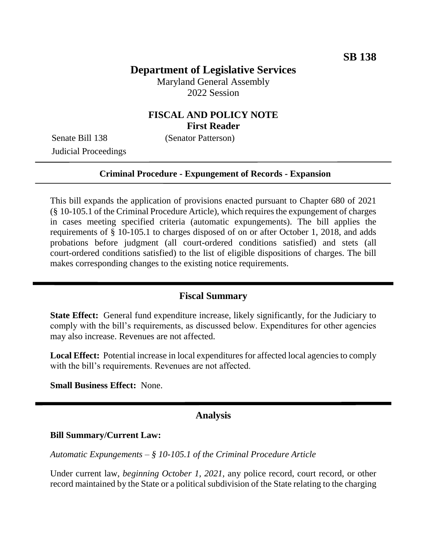# **Department of Legislative Services**

Maryland General Assembly 2022 Session

## **FISCAL AND POLICY NOTE First Reader**

Senate Bill 138 (Senator Patterson) Judicial Proceedings

#### **Criminal Procedure - Expungement of Records - Expansion**

This bill expands the application of provisions enacted pursuant to Chapter 680 of 2021 (§ 10-105.1 of the Criminal Procedure Article), which requires the expungement of charges in cases meeting specified criteria (automatic expungements). The bill applies the requirements of § 10-105.1 to charges disposed of on or after October 1, 2018, and adds probations before judgment (all court-ordered conditions satisfied) and stets (all court-ordered conditions satisfied) to the list of eligible dispositions of charges. The bill makes corresponding changes to the existing notice requirements.

#### **Fiscal Summary**

**State Effect:** General fund expenditure increase, likely significantly, for the Judiciary to comply with the bill's requirements, as discussed below. Expenditures for other agencies may also increase. Revenues are not affected.

**Local Effect:** Potential increase in local expenditures for affected local agencies to comply with the bill's requirements. Revenues are not affected.

**Small Business Effect:** None.

#### **Analysis**

#### **Bill Summary/Current Law:**

*Automatic Expungements – § 10-105.1 of the Criminal Procedure Article*

Under current law, *beginning October 1, 2021,* any police record, court record, or other record maintained by the State or a political subdivision of the State relating to the charging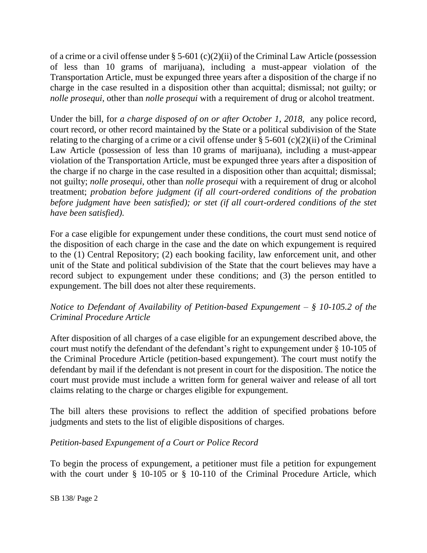of a crime or a civil offense under § 5-601 (c)(2)(ii) of the Criminal Law Article (possession of less than 10 grams of marijuana), including a must-appear violation of the Transportation Article, must be expunged three years after a disposition of the charge if no charge in the case resulted in a disposition other than acquittal; dismissal; not guilty; or *nolle prosequi*, other than *nolle prosequi* with a requirement of drug or alcohol treatment.

Under the bill, for *a charge disposed of on or after October 1, 2018,* any police record, court record, or other record maintained by the State or a political subdivision of the State relating to the charging of a crime or a civil offense under  $\S$  5-601 (c)(2)(ii) of the Criminal Law Article (possession of less than 10 grams of marijuana), including a must-appear violation of the Transportation Article, must be expunged three years after a disposition of the charge if no charge in the case resulted in a disposition other than acquittal; dismissal; not guilty; *nolle prosequi*, other than *nolle prosequi* with a requirement of drug or alcohol treatment; *probation before judgment (if all court-ordered conditions of the probation before judgment have been satisfied); or stet (if all court-ordered conditions of the stet have been satisfied).*

For a case eligible for expungement under these conditions, the court must send notice of the disposition of each charge in the case and the date on which expungement is required to the (1) Central Repository; (2) each booking facility, law enforcement unit, and other unit of the State and political subdivision of the State that the court believes may have a record subject to expungement under these conditions; and (3) the person entitled to expungement. The bill does not alter these requirements.

### *Notice to Defendant of Availability of Petition-based Expungement – § 10-105.2 of the Criminal Procedure Article*

After disposition of all charges of a case eligible for an expungement described above, the court must notify the defendant of the defendant's right to expungement under § 10-105 of the Criminal Procedure Article (petition-based expungement). The court must notify the defendant by mail if the defendant is not present in court for the disposition. The notice the court must provide must include a written form for general waiver and release of all tort claims relating to the charge or charges eligible for expungement.

The bill alters these provisions to reflect the addition of specified probations before judgments and stets to the list of eligible dispositions of charges.

## *Petition-based Expungement of a Court or Police Record*

To begin the process of expungement, a petitioner must file a petition for expungement with the court under § 10-105 or § 10-110 of the Criminal Procedure Article, which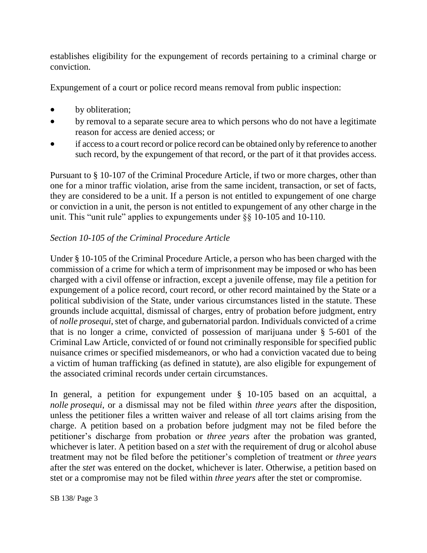establishes eligibility for the expungement of records pertaining to a criminal charge or conviction.

Expungement of a court or police record means removal from public inspection:

- by obliteration;
- by removal to a separate secure area to which persons who do not have a legitimate reason for access are denied access; or
- if access to a court record or police record can be obtained only by reference to another such record, by the expungement of that record, or the part of it that provides access.

Pursuant to § 10-107 of the Criminal Procedure Article, if two or more charges, other than one for a minor traffic violation, arise from the same incident, transaction, or set of facts, they are considered to be a unit. If a person is not entitled to expungement of one charge or conviction in a unit, the person is not entitled to expungement of any other charge in the unit. This "unit rule" applies to expungements under §§ 10-105 and 10-110.

## *Section 10-105 of the Criminal Procedure Article*

Under § 10-105 of the Criminal Procedure Article, a person who has been charged with the commission of a crime for which a term of imprisonment may be imposed or who has been charged with a civil offense or infraction, except a juvenile offense, may file a petition for expungement of a police record, court record, or other record maintained by the State or a political subdivision of the State, under various circumstances listed in the statute. These grounds include acquittal, dismissal of charges, entry of probation before judgment, entry of *nolle prosequi*, stet of charge, and gubernatorial pardon. Individuals convicted of a crime that is no longer a crime, convicted of possession of marijuana under § 5-601 of the Criminal Law Article, convicted of or found not criminally responsible for specified public nuisance crimes or specified misdemeanors, or who had a conviction vacated due to being a victim of human trafficking (as defined in statute), are also eligible for expungement of the associated criminal records under certain circumstances.

In general, a petition for expungement under § 10-105 based on an acquittal, a *nolle prosequi*, or a dismissal may not be filed within *three years* after the disposition, unless the petitioner files a written waiver and release of all tort claims arising from the charge. A petition based on a probation before judgment may not be filed before the petitioner's discharge from probation or *three years* after the probation was granted, whichever is later. A petition based on a *stet* with the requirement of drug or alcohol abuse treatment may not be filed before the petitioner's completion of treatment or *three years* after the *stet* was entered on the docket, whichever is later. Otherwise, a petition based on stet or a compromise may not be filed within *three years* after the stet or compromise.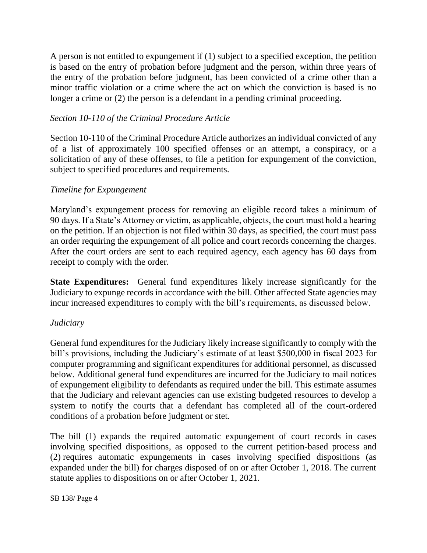A person is not entitled to expungement if (1) subject to a specified exception, the petition is based on the entry of probation before judgment and the person, within three years of the entry of the probation before judgment, has been convicted of a crime other than a minor traffic violation or a crime where the act on which the conviction is based is no longer a crime or (2) the person is a defendant in a pending criminal proceeding.

## *Section 10-110 of the Criminal Procedure Article*

Section 10-110 of the Criminal Procedure Article authorizes an individual convicted of any of a list of approximately 100 specified offenses or an attempt, a conspiracy, or a solicitation of any of these offenses, to file a petition for expungement of the conviction, subject to specified procedures and requirements.

### *Timeline for Expungement*

Maryland's expungement process for removing an eligible record takes a minimum of 90 days. If a State's Attorney or victim, as applicable, objects, the court must hold a hearing on the petition. If an objection is not filed within 30 days, as specified, the court must pass an order requiring the expungement of all police and court records concerning the charges. After the court orders are sent to each required agency, each agency has 60 days from receipt to comply with the order.

**State Expenditures:** General fund expenditures likely increase significantly for the Judiciary to expunge records in accordance with the bill. Other affected State agencies may incur increased expenditures to comply with the bill's requirements, as discussed below.

#### *Judiciary*

General fund expenditures for the Judiciary likely increase significantly to comply with the bill's provisions, including the Judiciary's estimate of at least \$500,000 in fiscal 2023 for computer programming and significant expenditures for additional personnel, as discussed below. Additional general fund expenditures are incurred for the Judiciary to mail notices of expungement eligibility to defendants as required under the bill. This estimate assumes that the Judiciary and relevant agencies can use existing budgeted resources to develop a system to notify the courts that a defendant has completed all of the court-ordered conditions of a probation before judgment or stet.

The bill (1) expands the required automatic expungement of court records in cases involving specified dispositions, as opposed to the current petition-based process and (2) requires automatic expungements in cases involving specified dispositions (as expanded under the bill) for charges disposed of on or after October 1, 2018. The current statute applies to dispositions on or after October 1, 2021.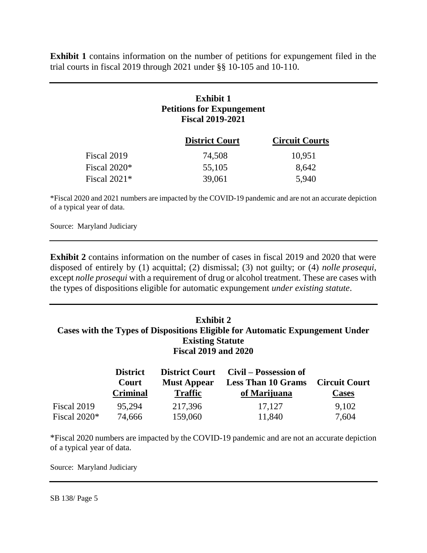**Exhibit 1** contains information on the number of petitions for expungement filed in the trial courts in fiscal 2019 through 2021 under §§ 10-105 and 10-110.

# **Exhibit 1 Petitions for Expungement Fiscal 2019-2021**

|                | <b>District Court</b> | <b>Circuit Courts</b> |
|----------------|-----------------------|-----------------------|
| Fiscal 2019    | 74,508                | 10,951                |
| Fiscal 2020*   | 55,105                | 8.642                 |
| Fiscal $2021*$ | 39,061                | 5,940                 |

\*Fiscal 2020 and 2021 numbers are impacted by the COVID-19 pandemic and are not an accurate depiction of a typical year of data.

Source: Maryland Judiciary

**Exhibit 2** contains information on the number of cases in fiscal 2019 and 2020 that were disposed of entirely by (1) acquittal; (2) dismissal; (3) not guilty; or (4) *nolle prosequi*, except *nolle prosequi* with a requirement of drug or alcohol treatment. These are cases with the types of dispositions eligible for automatic expungement *under existing statute*.

#### **Exhibit 2 Cases with the Types of Dispositions Eligible for Automatic Expungement Under Existing Statute Fiscal 2019 and 2020**

|                | <b>District</b><br>Court<br><b>Criminal</b> | <b>Must Appear</b><br><b>Traffic</b> | District Court Civil – Possession of<br><b>Less Than 10 Grams</b><br>of Marijuana | <b>Circuit Court</b><br><b>Cases</b> |
|----------------|---------------------------------------------|--------------------------------------|-----------------------------------------------------------------------------------|--------------------------------------|
| Fiscal 2019    | 95.294                                      | 217,396                              | 17,127                                                                            | 9,102                                |
| Fiscal $2020*$ | 74,666                                      | 159,060                              | 11,840                                                                            | 7,604                                |

\*Fiscal 2020 numbers are impacted by the COVID-19 pandemic and are not an accurate depiction of a typical year of data.

Source: Maryland Judiciary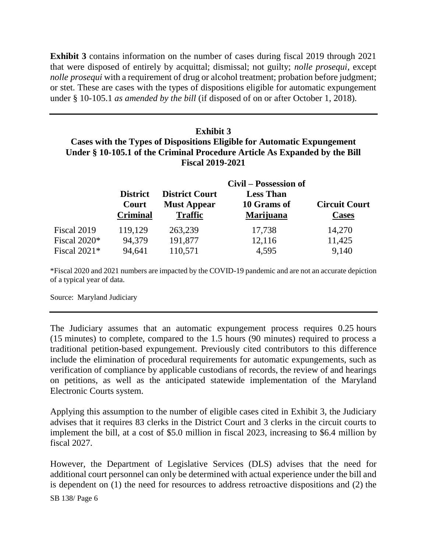**Exhibit 3** contains information on the number of cases during fiscal 2019 through 2021 that were disposed of entirely by acquittal; dismissal; not guilty; *nolle prosequi*, except *nolle prosequi* with a requirement of drug or alcohol treatment; probation before judgment; or stet. These are cases with the types of dispositions eligible for automatic expungement under § 10-105.1 *as amended by the bill* (if disposed of on or after October 1, 2018)*.*

# **Exhibit 3 Cases with the Types of Dispositions Eligible for Automatic Expungement Under § 10-105.1 of the Criminal Procedure Article As Expanded by the Bill Fiscal 2019-2021**

|                | Civil – Possession of                       |                                                               |                                                     |                                      |  |  |  |
|----------------|---------------------------------------------|---------------------------------------------------------------|-----------------------------------------------------|--------------------------------------|--|--|--|
|                | <b>District</b><br>Court<br><b>Criminal</b> | <b>District Court</b><br><b>Must Appear</b><br><b>Traffic</b> | <b>Less Than</b><br>10 Grams of<br><b>Marijuana</b> | <b>Circuit Court</b><br><b>Cases</b> |  |  |  |
| Fiscal 2019    | 119,129                                     | 263,239                                                       | 17,738                                              | 14,270                               |  |  |  |
| Fiscal $2020*$ | 94,379                                      | 191,877                                                       | 12,116                                              | 11,425                               |  |  |  |
| Fiscal $2021*$ | 94,641                                      | 110,571                                                       | 4,595                                               | 9,140                                |  |  |  |

\*Fiscal 2020 and 2021 numbers are impacted by the COVID-19 pandemic and are not an accurate depiction of a typical year of data.

Source: Maryland Judiciary

The Judiciary assumes that an automatic expungement process requires 0.25 hours (15 minutes) to complete, compared to the 1.5 hours (90 minutes) required to process a traditional petition-based expungement. Previously cited contributors to this difference include the elimination of procedural requirements for automatic expungements, such as verification of compliance by applicable custodians of records, the review of and hearings on petitions, as well as the anticipated statewide implementation of the Maryland Electronic Courts system.

Applying this assumption to the number of eligible cases cited in Exhibit 3, the Judiciary advises that it requires 83 clerks in the District Court and 3 clerks in the circuit courts to implement the bill, at a cost of \$5.0 million in fiscal 2023, increasing to \$6.4 million by fiscal 2027.

However, the Department of Legislative Services (DLS) advises that the need for additional court personnel can only be determined with actual experience under the bill and is dependent on (1) the need for resources to address retroactive dispositions and (2) the

SB 138/ Page 6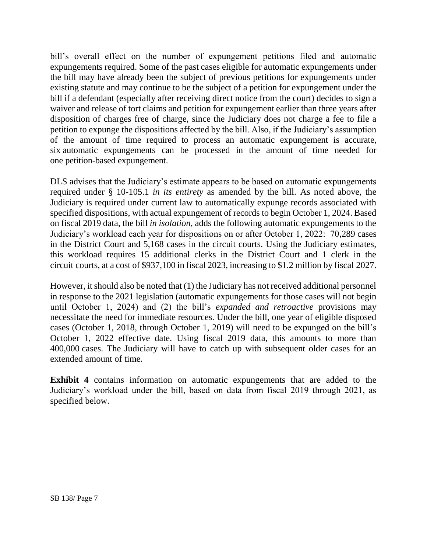bill's overall effect on the number of expungement petitions filed and automatic expungements required. Some of the past cases eligible for automatic expungements under the bill may have already been the subject of previous petitions for expungements under existing statute and may continue to be the subject of a petition for expungement under the bill if a defendant (especially after receiving direct notice from the court) decides to sign a waiver and release of tort claims and petition for expungement earlier than three years after disposition of charges free of charge, since the Judiciary does not charge a fee to file a petition to expunge the dispositions affected by the bill. Also, if the Judiciary's assumption of the amount of time required to process an automatic expungement is accurate, six automatic expungements can be processed in the amount of time needed for one petition-based expungement.

DLS advises that the Judiciary's estimate appears to be based on automatic expungements required under § 10-105.1 *in its entirety* as amended by the bill. As noted above, the Judiciary is required under current law to automatically expunge records associated with specified dispositions, with actual expungement of records to begin October 1, 2024. Based on fiscal 2019 data, the bill *in isolation,* adds the following automatic expungements to the Judiciary's workload each year for dispositions on or after October 1, 2022: 70,289 cases in the District Court and 5,168 cases in the circuit courts. Using the Judiciary estimates, this workload requires 15 additional clerks in the District Court and 1 clerk in the circuit courts, at a cost of \$937,100 in fiscal 2023, increasing to \$1.2 million by fiscal 2027.

However, it should also be noted that (1) the Judiciary has not received additional personnel in response to the 2021 legislation (automatic expungements for those cases will not begin until October 1, 2024) and (2) the bill's *expanded and retroactive* provisions may necessitate the need for immediate resources. Under the bill, one year of eligible disposed cases (October 1, 2018, through October 1, 2019) will need to be expunged on the bill's October 1, 2022 effective date. Using fiscal 2019 data, this amounts to more than 400,000 cases. The Judiciary will have to catch up with subsequent older cases for an extended amount of time.

**Exhibit 4** contains information on automatic expungements that are added to the Judiciary's workload under the bill, based on data from fiscal 2019 through 2021, as specified below.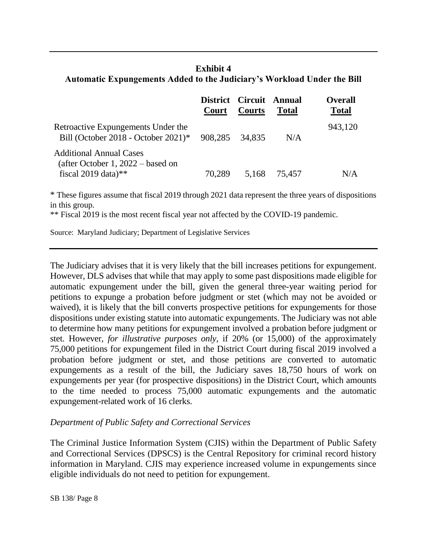### **Exhibit 4 Automatic Expungements Added to the Judiciary's Workload Under the Bill**

|                                                                                          | Court  | District Circuit Annual<br>Courts | <b>Total</b> | <b>Overall</b><br><b>Total</b> |
|------------------------------------------------------------------------------------------|--------|-----------------------------------|--------------|--------------------------------|
| Retroactive Expungements Under the<br>Bill (October 2018 - October 2021)* 908,285 34,835 |        |                                   | N/A          | 943,120                        |
| <b>Additional Annual Cases</b><br>(after October 1, $2022 -$ based on                    |        |                                   |              |                                |
| fiscal 2019 data)**                                                                      | 70.289 | 5,168                             | 75,457       | N/A                            |

\* These figures assume that fiscal 2019 through 2021 data represent the three years of dispositions in this group.

\*\* Fiscal 2019 is the most recent fiscal year not affected by the COVID-19 pandemic.

Source: Maryland Judiciary; Department of Legislative Services

The Judiciary advises that it is very likely that the bill increases petitions for expungement. However, DLS advises that while that may apply to some past dispositions made eligible for automatic expungement under the bill, given the general three-year waiting period for petitions to expunge a probation before judgment or stet (which may not be avoided or waived), it is likely that the bill converts prospective petitions for expungements for those dispositions under existing statute into automatic expungements. The Judiciary was not able to determine how many petitions for expungement involved a probation before judgment or stet. However, *for illustrative purposes only,* if 20% (or 15,000) of the approximately 75,000 petitions for expungement filed in the District Court during fiscal 2019 involved a probation before judgment or stet, and those petitions are converted to automatic expungements as a result of the bill, the Judiciary saves 18,750 hours of work on expungements per year (for prospective dispositions) in the District Court, which amounts to the time needed to process 75,000 automatic expungements and the automatic expungement-related work of 16 clerks.

#### *Department of Public Safety and Correctional Services*

The Criminal Justice Information System (CJIS) within the Department of Public Safety and Correctional Services (DPSCS) is the Central Repository for criminal record history information in Maryland. CJIS may experience increased volume in expungements since eligible individuals do not need to petition for expungement.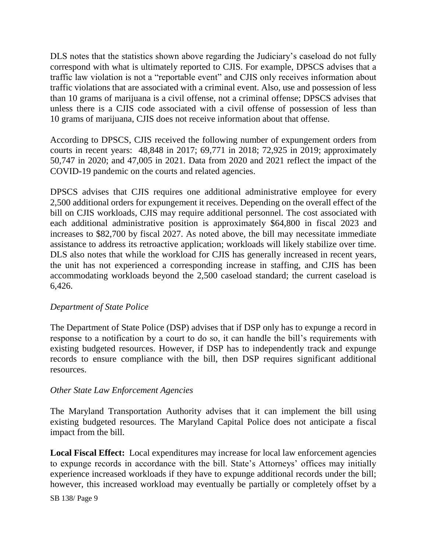DLS notes that the statistics shown above regarding the Judiciary's caseload do not fully correspond with what is ultimately reported to CJIS. For example, DPSCS advises that a traffic law violation is not a "reportable event" and CJIS only receives information about traffic violations that are associated with a criminal event. Also, use and possession of less than 10 grams of marijuana is a civil offense, not a criminal offense; DPSCS advises that unless there is a CJIS code associated with a civil offense of possession of less than 10 grams of marijuana, CJIS does not receive information about that offense.

According to DPSCS, CJIS received the following number of expungement orders from courts in recent years: 48,848 in 2017; 69,771 in 2018; 72,925 in 2019; approximately 50,747 in 2020; and 47,005 in 2021. Data from 2020 and 2021 reflect the impact of the COVID-19 pandemic on the courts and related agencies.

DPSCS advises that CJIS requires one additional administrative employee for every 2,500 additional orders for expungement it receives. Depending on the overall effect of the bill on CJIS workloads, CJIS may require additional personnel. The cost associated with each additional administrative position is approximately \$64,800 in fiscal 2023 and increases to \$82,700 by fiscal 2027. As noted above, the bill may necessitate immediate assistance to address its retroactive application; workloads will likely stabilize over time. DLS also notes that while the workload for CJIS has generally increased in recent years, the unit has not experienced a corresponding increase in staffing, and CJIS has been accommodating workloads beyond the 2,500 caseload standard; the current caseload is 6,426.

#### *Department of State Police*

The Department of State Police (DSP) advises that if DSP only has to expunge a record in response to a notification by a court to do so, it can handle the bill's requirements with existing budgeted resources. However, if DSP has to independently track and expunge records to ensure compliance with the bill, then DSP requires significant additional resources.

#### *Other State Law Enforcement Agencies*

The Maryland Transportation Authority advises that it can implement the bill using existing budgeted resources. The Maryland Capital Police does not anticipate a fiscal impact from the bill.

**Local Fiscal Effect:** Local expenditures may increase for local law enforcement agencies to expunge records in accordance with the bill. State's Attorneys' offices may initially experience increased workloads if they have to expunge additional records under the bill; however, this increased workload may eventually be partially or completely offset by a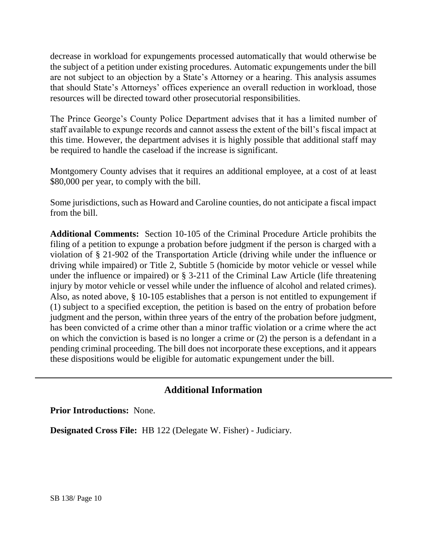decrease in workload for expungements processed automatically that would otherwise be the subject of a petition under existing procedures. Automatic expungements under the bill are not subject to an objection by a State's Attorney or a hearing. This analysis assumes that should State's Attorneys' offices experience an overall reduction in workload, those resources will be directed toward other prosecutorial responsibilities.

The Prince George's County Police Department advises that it has a limited number of staff available to expunge records and cannot assess the extent of the bill's fiscal impact at this time. However, the department advises it is highly possible that additional staff may be required to handle the caseload if the increase is significant.

Montgomery County advises that it requires an additional employee, at a cost of at least \$80,000 per year, to comply with the bill.

Some jurisdictions, such as Howard and Caroline counties, do not anticipate a fiscal impact from the bill.

**Additional Comments:** Section 10-105 of the Criminal Procedure Article prohibits the filing of a petition to expunge a probation before judgment if the person is charged with a violation of § 21-902 of the Transportation Article (driving while under the influence or driving while impaired) or Title 2, Subtitle 5 (homicide by motor vehicle or vessel while under the influence or impaired) or § 3-211 of the Criminal Law Article (life threatening injury by motor vehicle or vessel while under the influence of alcohol and related crimes). Also, as noted above, § 10-105 establishes that a person is not entitled to expungement if (1) subject to a specified exception, the petition is based on the entry of probation before judgment and the person, within three years of the entry of the probation before judgment, has been convicted of a crime other than a minor traffic violation or a crime where the act on which the conviction is based is no longer a crime or (2) the person is a defendant in a pending criminal proceeding. The bill does not incorporate these exceptions, and it appears these dispositions would be eligible for automatic expungement under the bill.

## **Additional Information**

**Prior Introductions:** None.

**Designated Cross File:** HB 122 (Delegate W. Fisher) - Judiciary.